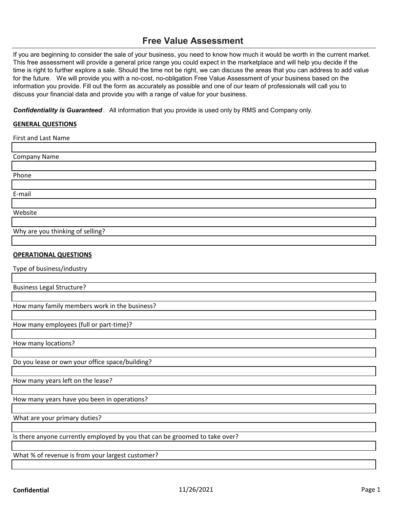## **Free Value Assessment**

If you are beginning to consider the sale of your business, you need to know how much it would be worth in the current market. This free assessment will provide a general price range you could expect in the marketplace and will help you decide if the time is right to further explore a sale. Should the time not be right, we can discuss the areas that you can address to add value for the future. We will provide you with a no-cost, no-obligation Free Value Assessment of your business based on the information you provide. Fill out the form as accurately as possible and one of our team of professionals will call you to discuss your financial data and provide you with a range of value for your business.

*Confidentiality is Guaranteed* . All information that you provide is used only by RMS and Company only.

## **GENERAL QUESTIONS**

| First and Last Name              |  |
|----------------------------------|--|
|                                  |  |
| <b>Company Name</b>              |  |
|                                  |  |
| Phone                            |  |
|                                  |  |
| E-mail                           |  |
|                                  |  |
| Website                          |  |
|                                  |  |
| Why are you thinking of selling? |  |
|                                  |  |

## **OPERATIONAL QUESTIONS**

Type of business/industry

Business Legal Structure?

How many family members work in the business?

How many employees (full or part-time)?

How many locations?

Do you lease or own your office space/building?

How many years left on the lease?

How many years have you been in operations?

What are your primary duties?

Is there anyone currently employed by you that can be groomed to take over?

What % of revenue is from your largest customer?